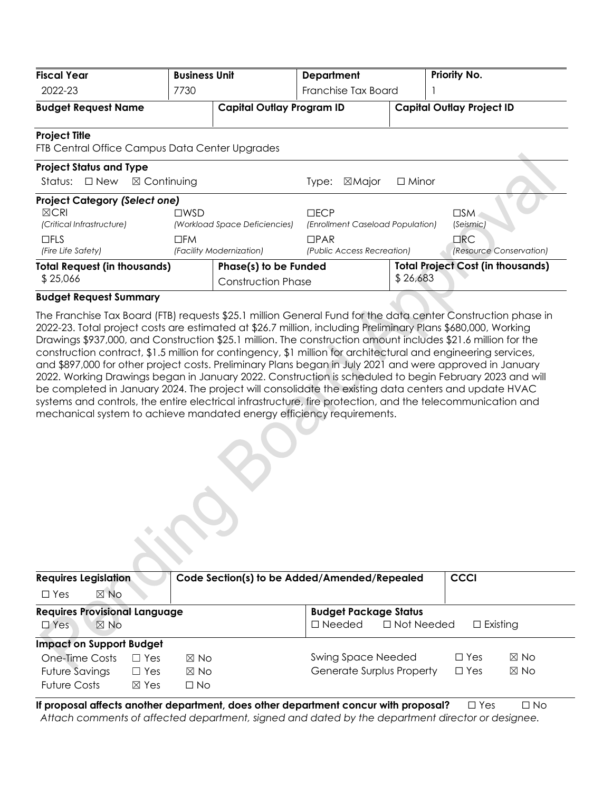| <b>Fiscal Year</b>                                                                   | <b>Business Unit</b>   |                                                    | <b>Department</b>                                     |                                  | Priority No.                             |  |
|--------------------------------------------------------------------------------------|------------------------|----------------------------------------------------|-------------------------------------------------------|----------------------------------|------------------------------------------|--|
| 2022-23                                                                              | 7730                   |                                                    | Franchise Tax Board                                   |                                  |                                          |  |
| <b>Budget Request Name</b>                                                           |                        | <b>Capital Outlay Program ID</b>                   |                                                       | <b>Capital Outlay Project ID</b> |                                          |  |
| <b>Project Title</b><br>FTB Central Office Campus Data Center Upgrades               |                        |                                                    |                                                       |                                  |                                          |  |
| <b>Project Status and Type</b><br>Status: $\Box$ New                                 | $\boxtimes$ Continuing |                                                    | ⊠Major<br>Type:                                       | $\Box$ Minor                     |                                          |  |
| <b>Project Category (Select one)</b><br>$\boxtimes$ CRI<br>(Critical Infrastructure) | $\square$ WSD          | (Workload Space Deficiencies)                      | $\Box$ E $\Box$ P<br>(Enrollment Caseload Population) |                                  | $\square$ SM<br>(Seismic)                |  |
| $\square$ FLS<br>(Fire Life Safety)                                                  | $\square$ FM           | (Facility Modernization)                           | $\Box$ PAR<br>(Public Access Recreation)              |                                  | $\Box$ RC<br>(Resource Conservation)     |  |
| <b>Total Request (in thousands)</b><br>\$25,066                                      |                        | Phase(s) to be Funded<br><b>Construction Phase</b> |                                                       | \$26,683                         | <b>Total Project Cost (in thousands)</b> |  |

# **Budget Request Summary**

The Franchise Tax Board (FTB) requests \$25.1 million General Fund for the data center Construction phase in 2022-23. Total project costs are estimated at \$26.7 million, including Preliminary Plans \$680,000, Working Drawings \$937,000, and Construction \$25.1 million. The construction amount includes \$21.6 million for the construction contract, \$1.5 million for contingency, \$1 million for architectural and engineering services, and \$897,000 for other project costs. Preliminary Plans began in July 2021 and were approved in January 2022. Working Drawings began in January 2022. Construction is scheduled to begin February 2023 and will be completed in January 2024. The project will consolidate the existing data centers and update HVAC systems and controls, the entire electrical infrastructure, fire protection, and the telecommunication and mechanical system to achieve mandated energy efficiency requirements.

| <b>Requires Legislation</b><br>$\boxtimes$ No<br>$\Box$ Yes |                 | Code Section(s) to be Added/Amended/Repealed | <b>CCCI</b>                           |                 |                |
|-------------------------------------------------------------|-----------------|----------------------------------------------|---------------------------------------|-----------------|----------------|
| <b>Requires Provisional Language</b>                        |                 | <b>Budget Package Status</b>                 |                                       |                 |                |
| $\boxtimes$ No<br>$\Box$ Yes                                |                 |                                              | $\Box$ Not Needed<br>$\square$ Needed | $\Box$ Existing |                |
| <b>Impact on Support Budget</b>                             |                 |                                              |                                       |                 |                |
| One-Time Costs                                              | $\Box$ Yes      | $\boxtimes$ No                               | <b>Swing Space Needed</b>             | $\Box$ Yes      | $\boxtimes$ No |
| <b>Future Savings</b>                                       | $\Box$ Yes      | $\boxtimes$ No                               | Generate Surplus Property             | $\Box$ Yes      | $\boxtimes$ No |
| <b>Future Costs</b>                                         | $\boxtimes$ Yes | $\Box$ No                                    |                                       |                 |                |

**If proposal affects another department, does other department concur with proposal?** □ Yes □ No *Attach comments of affected department, signed and dated by the department director or designee.*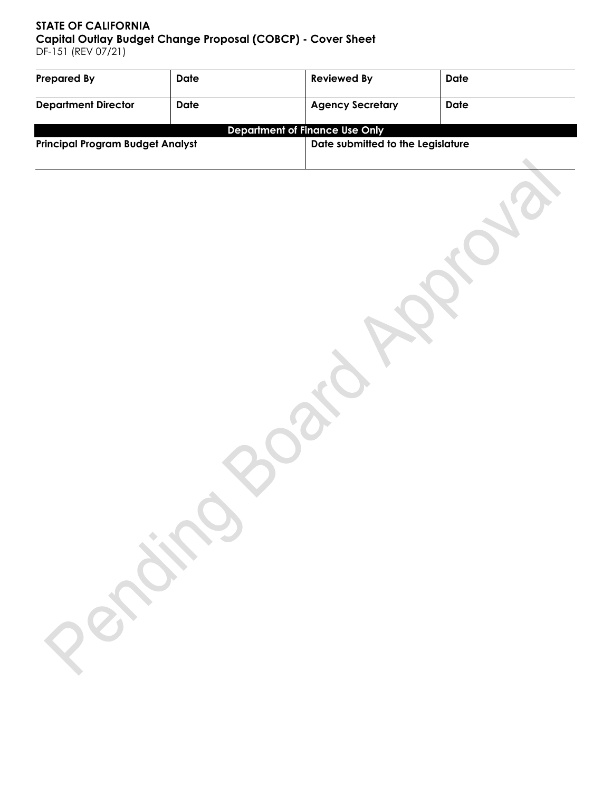# **STATE OF CALIFORNIA Capital Outlay Budget Change Proposal (COBCP) - Cover Sheet** DF-151 (REV 07/21)

| Prepared By                             | Date | <b>Reviewed By</b>                    | <b>Date</b> |  |
|-----------------------------------------|------|---------------------------------------|-------------|--|
| <b>Department Director</b>              | Date | <b>Agency Secretary</b>               | Date        |  |
|                                         |      | <b>Department of Finance Use Only</b> |             |  |
| <b>Principal Program Budget Analyst</b> |      | Date submitted to the Legislature     |             |  |
|                                         |      |                                       |             |  |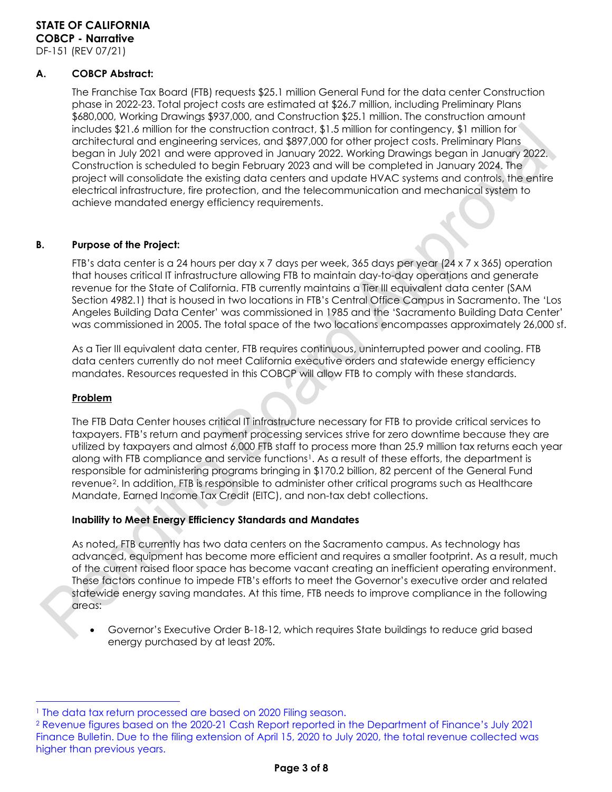# **A. COBCP Abstract:**

The Franchise Tax Board (FTB) requests \$25.1 million General Fund for the data center Construction phase in 2022-23. Total project costs are estimated at \$26.7 million, including Preliminary Plans \$680,000, Working Drawings \$937,000, and Construction \$25.1 million. The construction amount includes \$21.6 million for the construction contract, \$1.5 million for contingency, \$1 million for architectural and engineering services, and \$897,000 for other project costs. Preliminary Plans began in July 2021 and were approved in January 2022. Working Drawings began in January 2022. Construction is scheduled to begin February 2023 and will be completed in January 2024. The project will consolidate the existing data centers and update HVAC systems and controls, the entire electrical infrastructure, fire protection, and the telecommunication and mechanical system to achieve mandated energy efficiency requirements.

# **B. Purpose of the Project:**

FTB's data center is a 24 hours per day x 7 days per week, 365 days per year (24 x 7 x 365) operation that houses critical IT infrastructure allowing FTB to maintain day-to-day operations and generate revenue for the State of California. FTB currently maintains a Tier III equivalent data center (SAM Section 4982.1) that is housed in two locations in FTB's Central Office Campus in Sacramento. The 'Los Angeles Building Data Center' was commissioned in 1985 and the 'Sacramento Building Data Center' was commissioned in 2005. The total space of the two locations encompasses approximately 26,000 sf.

As a Tier III equivalent data center, FTB requires continuous, uninterrupted power and cooling. FTB data centers currently do not meet California executive orders and statewide energy efficiency mandates. Resources requested in this COBCP will allow FTB to comply with these standards.

#### **Problem**

 $\overline{a}$ 

The FTB Data Center houses critical IT infrastructure necessary for FTB to provide critical services to taxpayers. FTB's return and payment processing services strive for zero downtime because they are utilized by taxpayers and almost 6,000 FTB staff to process more than 25.9 million tax returns each year along with FTB compliance and service functions<sup>1</sup>. As a result of these efforts, the department is responsible for administering programs bringing in \$170.2 billion, 82 percent of the General Fund revenue[2](#page-2-1). In addition, FTB is responsible to administer other critical programs such as Healthcare Mandate, Earned Income Tax Credit (EITC), and non-tax debt collections.

#### **Inability to Meet Energy Efficiency Standards and Mandates**

As noted, FTB currently has two data centers on the Sacramento campus. As technology has advanced, equipment has become more efficient and requires a smaller footprint. As a result, much of the current raised floor space has become vacant creating an inefficient operating environment. These factors continue to impede FTB's efforts to meet the Governor's executive order and related statewide energy saving mandates. At this time, FTB needs to improve compliance in the following areas:

• Governor's Executive Order B-18-12, which requires State buildings to reduce grid based energy purchased by at least 20%.

<span id="page-2-0"></span><sup>&</sup>lt;sup>1</sup> The data tax return processed are based on 2020 Filing season.

<span id="page-2-1"></span><sup>2</sup> Revenue figures based on the 2020-21 Cash Report reported in the Department of Finance's July 2021 Finance Bulletin. Due to the filing extension of April 15, 2020 to July 2020, the total revenue collected was higher than previous years.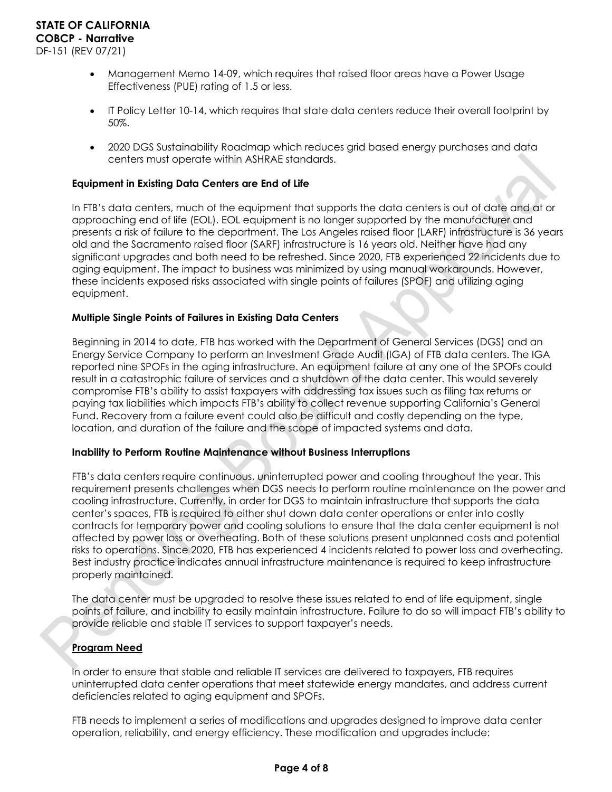- Management Memo 14-09, which requires that raised floor areas have a Power Usage Effectiveness (PUE) rating of 1.5 or less.
- IT Policy Letter 10-14, which requires that state data centers reduce their overall footprint by 50%.
- 2020 DGS Sustainability Roadmap which reduces grid based energy purchases and data centers must operate within ASHRAE standards.

### **Equipment in Existing Data Centers are End of Life**

In FTB's data centers, much of the equipment that supports the data centers is out of date and at or approaching end of life (EOL). EOL equipment is no longer supported by the manufacturer and presents a risk of failure to the department. The Los Angeles raised floor (LARF) infrastructure is 36 years old and the Sacramento raised floor (SARF) infrastructure is 16 years old. Neither have had any significant upgrades and both need to be refreshed. Since 2020, FTB experienced 22 incidents due to aging equipment. The impact to business was minimized by using manual workarounds. However, these incidents exposed risks associated with single points of failures (SPOF) and utilizing aging equipment.

### **Multiple Single Points of Failures in Existing Data Centers**

Beginning in 2014 to date, FTB has worked with the Department of General Services (DGS) and an Energy Service Company to perform an Investment Grade Audit (IGA) of FTB data centers. The IGA reported nine SPOFs in the aging infrastructure. An equipment failure at any one of the SPOFs could result in a catastrophic failure of services and a shutdown of the data center. This would severely compromise FTB's ability to assist taxpayers with addressing tax issues such as filing tax returns or paying tax liabilities which impacts FTB's ability to collect revenue supporting California's General Fund. Recovery from a failure event could also be difficult and costly depending on the type, location, and duration of the failure and the scope of impacted systems and data.

#### **Inability to Perform Routine Maintenance without Business Interruptions**

FTB's data centers require continuous, uninterrupted power and cooling throughout the year. This requirement presents challenges when DGS needs to perform routine maintenance on the power and cooling infrastructure. Currently, in order for DGS to maintain infrastructure that supports the data center's spaces, FTB is required to either shut down data center operations or enter into costly contracts for temporary power and cooling solutions to ensure that the data center equipment is not affected by power loss or overheating. Both of these solutions present unplanned costs and potential risks to operations. Since 2020, FTB has experienced 4 incidents related to power loss and overheating. Best industry practice indicates annual infrastructure maintenance is required to keep infrastructure properly maintained.

The data center must be upgraded to resolve these issues related to end of life equipment, single points of failure, and inability to easily maintain infrastructure. Failure to do so will impact FTB's ability to provide reliable and stable IT services to support taxpayer's needs.

# **Program Need**

In order to ensure that stable and reliable IT services are delivered to taxpayers, FTB requires uninterrupted data center operations that meet statewide energy mandates, and address current deficiencies related to aging equipment and SPOFs.

FTB needs to implement a series of modifications and upgrades designed to improve data center operation, reliability, and energy efficiency. These modification and upgrades include: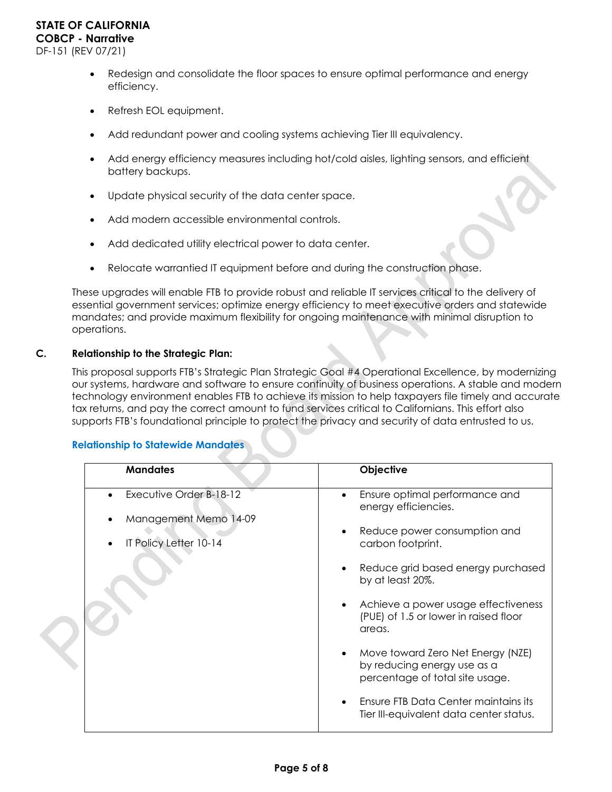- Redesign and consolidate the floor spaces to ensure optimal performance and energy efficiency.
- Refresh EOL equipment.
- Add redundant power and cooling systems achieving Tier III equivalency.
- Add energy efficiency measures including hot/cold aisles, lighting sensors, and efficient battery backups.
- Update physical security of the data center space.
- Add modern accessible environmental controls.
- Add dedicated utility electrical power to data center.
- Relocate warrantied IT equipment before and during the construction phase.

These upgrades will enable FTB to provide robust and reliable IT services critical to the delivery of essential government services; optimize energy efficiency to meet executive orders and statewide mandates; and provide maximum flexibility for ongoing maintenance with minimal disruption to operations.

### **C. Relationship to the Strategic Plan:**

This proposal supports FTB's Strategic Plan Strategic Goal #4 Operational Excellence, by modernizing our systems, hardware and software to ensure continuity of business operations. A stable and modern technology environment enables FTB to achieve its mission to help taxpayers file timely and accurate tax returns, and pay the correct amount to fund services critical to Californians. This effort also supports FTB's foundational principle to protect the privacy and security of data entrusted to us.

#### **Relationship to Statewide Mandates**

| <b>Mandates</b>         | Objective                                                                                           |
|-------------------------|-----------------------------------------------------------------------------------------------------|
| Executive Order B-18-12 | Ensure optimal performance and<br>energy efficiencies.                                              |
| Management Memo 14-09   |                                                                                                     |
| IT Policy Letter 10-14  | Reduce power consumption and<br>carbon footprint.                                                   |
|                         | Reduce grid based energy purchased<br>by at least 20%.                                              |
|                         | Achieve a power usage effectiveness<br>(PUE) of 1.5 or lower in raised floor<br>areas.              |
|                         | Move toward Zero Net Energy (NZE)<br>by reducing energy use as a<br>percentage of total site usage. |
|                         | Ensure FTB Data Center maintains its<br>Tier III-equivalent data center status.                     |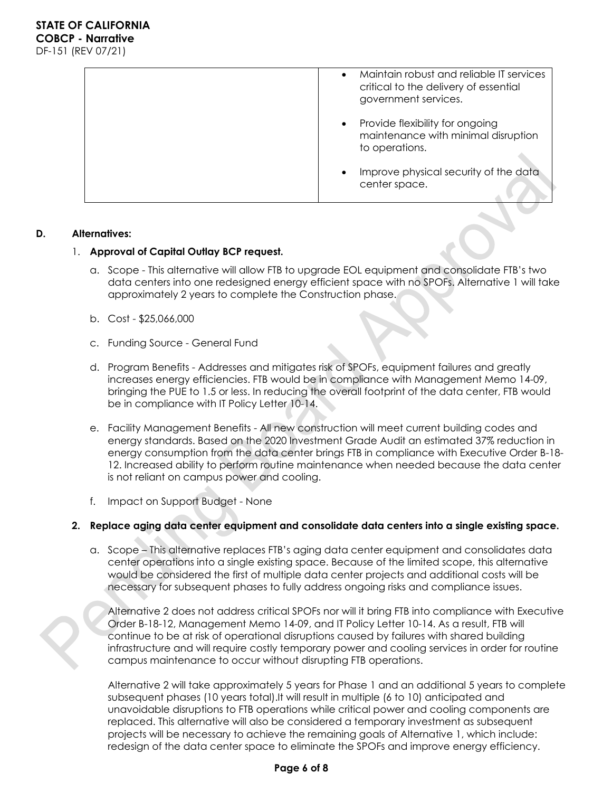| Maintain robust and reliable IT services<br>$\bullet$<br>critical to the delivery of essential<br>government services. |
|------------------------------------------------------------------------------------------------------------------------|
| Provide flexibility for ongoing<br>$\bullet$<br>maintenance with minimal disruption<br>to operations.                  |
| Improve physical security of the data<br>$\bullet$<br>center space.                                                    |

### **D. Alternatives:**

### 1. **Approval of Capital Outlay BCP request.**

- a. Scope This alternative will allow FTB to upgrade EOL equipment and consolidate FTB's two data centers into one redesigned energy efficient space with no SPOFs. Alternative 1 will take approximately 2 years to complete the Construction phase.
- b. Cost \$25,066,000
- c. Funding Source General Fund
- d. Program Benefits Addresses and mitigates risk of SPOFs, equipment failures and greatly increases energy efficiencies. FTB would be in compliance with Management Memo 14-09, bringing the PUE to 1.5 or less. In reducing the overall footprint of the data center, FTB would be in compliance with IT Policy Letter 10-14.
- e. Facility Management Benefits All new construction will meet current building codes and energy standards. Based on the 2020 Investment Grade Audit an estimated 37% reduction in energy consumption from the data center brings FTB in compliance with Executive Order B-18- 12. Increased ability to perform routine maintenance when needed because the data center is not reliant on campus power and cooling.
- f. Impact on Support Budget None

# **2. Replace aging data center equipment and consolidate data centers into a single existing space.**

a. Scope – This alternative replaces FTB's aging data center equipment and consolidates data center operations into a single existing space. Because of the limited scope, this alternative would be considered the first of multiple data center projects and additional costs will be necessary for subsequent phases to fully address ongoing risks and compliance issues.

Alternative 2 does not address critical SPOFs nor will it bring FTB into compliance with Executive Order B-18-12, Management Memo 14-09, and IT Policy Letter 10-14. As a result, FTB will continue to be at risk of operational disruptions caused by failures with shared building infrastructure and will require costly temporary power and cooling services in order for routine campus maintenance to occur without disrupting FTB operations.

Alternative 2 will take approximately 5 years for Phase 1 and an additional 5 years to complete subsequent phases (10 years total).It will result in multiple (6 to 10) anticipated and unavoidable disruptions to FTB operations while critical power and cooling components are replaced. This alternative will also be considered a temporary investment as subsequent projects will be necessary to achieve the remaining goals of Alternative 1, which include: redesign of the data center space to eliminate the SPOFs and improve energy efficiency.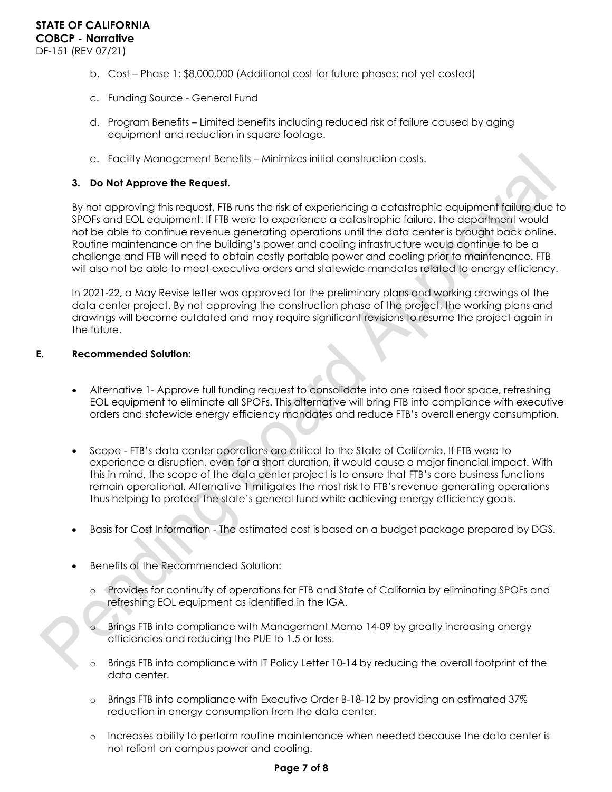- b. Cost Phase 1: \$8,000,000 (Additional cost for future phases: not yet costed)
- c. Funding Source General Fund
- d. Program Benefits Limited benefits including reduced risk of failure caused by aging equipment and reduction in square footage.
- e. Facility Management Benefits Minimizes initial construction costs.

#### **3. Do Not Approve the Request.**

By not approving this request, FTB runs the risk of experiencing a catastrophic equipment failure due to SPOFs and EOL equipment. If FTB were to experience a catastrophic failure, the department would not be able to continue revenue generating operations until the data center is brought back online. Routine maintenance on the building's power and cooling infrastructure would continue to be a challenge and FTB will need to obtain costly portable power and cooling prior to maintenance. FTB will also not be able to meet executive orders and statewide mandates related to energy efficiency.

In 2021-22, a May Revise letter was approved for the preliminary plans and working drawings of the data center project. By not approving the construction phase of the project, the working plans and drawings will become outdated and may require significant revisions to resume the project again in the future.

### **E. Recommended Solution:**

- Alternative 1- Approve full funding request to consolidate into one raised floor space, refreshing EOL equipment to eliminate all SPOFs. This alternative will bring FTB into compliance with executive orders and statewide energy efficiency mandates and reduce FTB's overall energy consumption.
- Scope FTB's data center operations are critical to the State of California. If FTB were to experience a disruption, even for a short duration, it would cause a major financial impact. With this in mind, the scope of the data center project is to ensure that FTB's core business functions remain operational. Alternative 1 mitigates the most risk to FTB's revenue generating operations thus helping to protect the state's general fund while achieving energy efficiency goals.
- Basis for Cost Information The estimated cost is based on a budget package prepared by DGS.
- Benefits of the Recommended Solution:
	- o Provides for continuity of operations for FTB and State of California by eliminating SPOFs and refreshing EOL equipment as identified in the IGA.
	- o Brings FTB into compliance with Management Memo 14-09 by greatly increasing energy efficiencies and reducing the PUE to 1.5 or less.
	- o Brings FTB into compliance with IT Policy Letter 10-14 by reducing the overall footprint of the data center.
	- o Brings FTB into compliance with Executive Order B-18-12 by providing an estimated 37% reduction in energy consumption from the data center.
	- o Increases ability to perform routine maintenance when needed because the data center is not reliant on campus power and cooling.